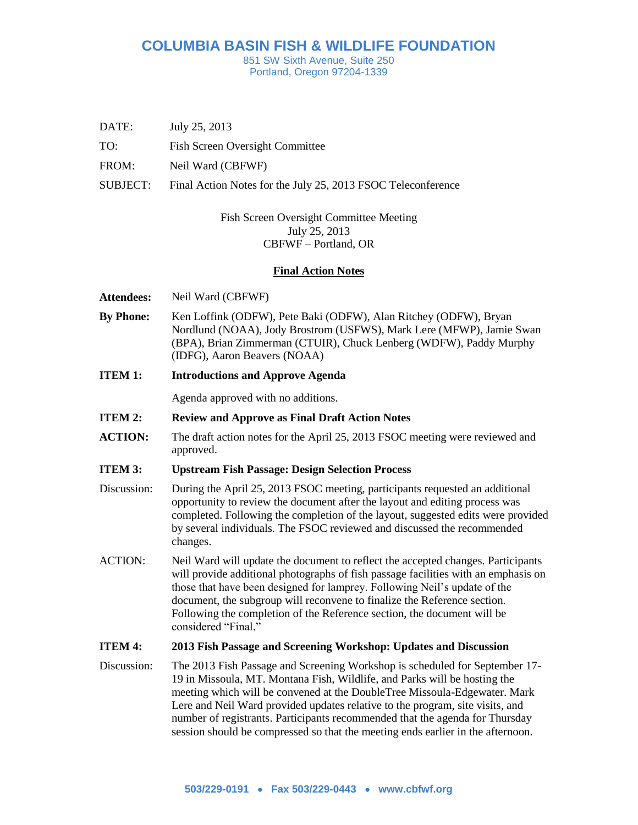# **COLUMBIA BASIN FISH & WILDLIFE FOUNDATION**

851 SW Sixth Avenue, Suite 250 Portland, Oregon 97204-1339

- DATE: July 25, 2013
- TO: Fish Screen Oversight Committee
- FROM: Neil Ward (CBFWF)
- SUBJECT: Final Action Notes for the July 25, 2013 FSOC Teleconference

# Fish Screen Oversight Committee Meeting July 25, 2013 CBFWF – Portland, OR

## **Final Action Notes**

- **Attendees:** Neil Ward (CBFWF)
- **By Phone:** Ken Loffink (ODFW), Pete Baki (ODFW), Alan Ritchey (ODFW), Bryan Nordlund (NOAA), Jody Brostrom (USFWS), Mark Lere (MFWP), Jamie Swan (BPA), Brian Zimmerman (CTUIR), Chuck Lenberg (WDFW), Paddy Murphy (IDFG), Aaron Beavers (NOAA)
- **ITEM 1: Introductions and Approve Agenda**

Agenda approved with no additions.

- **ITEM 2: Review and Approve as Final Draft Action Notes**
- **ACTION:** The draft action notes for the April 25, 2013 FSOC meeting were reviewed and approved.

#### **ITEM 3: Upstream Fish Passage: Design Selection Process**

- Discussion: During the April 25, 2013 FSOC meeting, participants requested an additional opportunity to review the document after the layout and editing process was completed. Following the completion of the layout, suggested edits were provided by several individuals. The FSOC reviewed and discussed the recommended changes.
- ACTION: Neil Ward will update the document to reflect the accepted changes. Participants will provide additional photographs of fish passage facilities with an emphasis on those that have been designed for lamprey. Following Neil's update of the document, the subgroup will reconvene to finalize the Reference section. Following the completion of the Reference section, the document will be considered "Final."

#### **ITEM 4: 2013 Fish Passage and Screening Workshop: Updates and Discussion**

Discussion: The 2013 Fish Passage and Screening Workshop is scheduled for September 17- 19 in Missoula, MT. Montana Fish, Wildlife, and Parks will be hosting the meeting which will be convened at the DoubleTree Missoula-Edgewater. Mark Lere and Neil Ward provided updates relative to the program, site visits, and number of registrants. Participants recommended that the agenda for Thursday session should be compressed so that the meeting ends earlier in the afternoon.